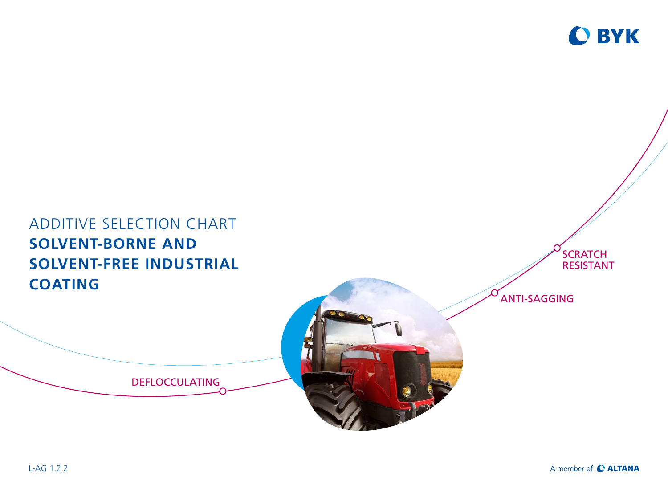

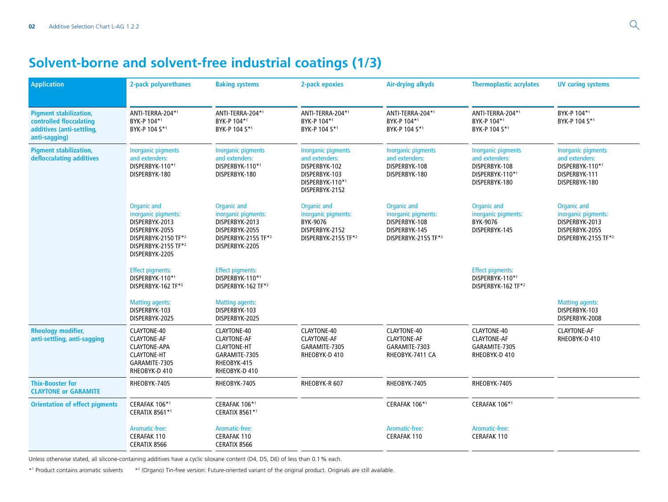## **Solvent-borne and solvent-free industrial coatings (1/3)**

| <b>Application</b>                                                                                     | 2-pack polyurethanes                                                                                                                   | <b>Baking systems</b>                                                                                                  | 2-pack epoxies                                                                                                     | <b>Air-drying alkyds</b>                                                                    | <b>Thermoplastic acrylates</b>                                                                   | <b>UV curing systems</b>                                                                             |
|--------------------------------------------------------------------------------------------------------|----------------------------------------------------------------------------------------------------------------------------------------|------------------------------------------------------------------------------------------------------------------------|--------------------------------------------------------------------------------------------------------------------|---------------------------------------------------------------------------------------------|--------------------------------------------------------------------------------------------------|------------------------------------------------------------------------------------------------------|
| <b>Pigment stabilization,</b><br>controlled flocculating<br>additives (anti-settling,<br>anti-sagging) | ANTI-TERRA-204*1<br>BYK-P 104*1<br>BYK-P 104 S*1                                                                                       | ANTI-TERRA-204*1<br>BYK-P 104*1<br>BYK-P 104 S*1                                                                       | ANTI-TERRA-204*1<br>BYK-P 104*1<br>BYK-P 104 S*1                                                                   | ANTI-TERRA-204*1<br>BYK-P 104*1<br>BYK-P 104 S*1                                            | ANTI-TERRA-204*1<br>BYK-P 104*1<br>BYK-P 104 S*1                                                 | BYK-P 104*1<br>BYK-P 104 S*1                                                                         |
| <b>Pigment stabilization,</b><br>deflocculating additives                                              | <b>Inorganic pigments</b><br>and extenders:<br>DISPERBYK-110*1<br>DISPERBYK-180                                                        | <b>Inorganic pigments</b><br>and extenders:<br>DISPERBYK-110*1<br>DISPERBYK-180                                        | <b>Inorganic pigments</b><br>and extenders:<br>DISPERBYK-102<br>DISPERBYK-103<br>DISPERBYK-110*1<br>DISPERBYK-2152 | <b>Inorganic pigments</b><br>and extenders:<br>DISPERBYK-108<br>DISPERBYK-180               | <b>Inorganic pigments</b><br>and extenders:<br>DISPERBYK-108<br>DISPERBYK-110*1<br>DISPERBYK-180 | <b>Inorganic pigments</b><br>and extenders:<br>DISPERBYK-110*1<br>DISPERBYK-111<br>DISPERBYK-180     |
|                                                                                                        | Organic and<br>inorganic pigments:<br>DISPERBYK-2013<br>DISPERBYK-2055<br>DISPERBYK-2150 TF*2<br>DISPERBYK-2155 TF*2<br>DISPERBYK-2205 | <b>Organic and</b><br>inorganic pigments:<br>DISPERBYK-2013<br>DISPERBYK-2055<br>DISPERBYK-2155 TF*2<br>DISPERBYK-2205 | <b>Organic and</b><br>inorganic pigments:<br>BYK-9076<br>DISPERBYK-2152<br>DISPERBYK-2155 TF*2                     | Organic and<br>inorganic pigments:<br>DISPERBYK-108<br>DISPERBYK-145<br>DISPERBYK-2155 TF*2 | Organic and<br>inorganic pigments:<br>BYK-9076<br>DISPERBYK-145                                  | <b>Organic and</b><br>inorganic pigments:<br>DISPERBYK-2013<br>DISPERBYK-2055<br>DISPERBYK-2155 TF*2 |
|                                                                                                        | <b>Effect pigments:</b><br>DISPERBYK-110*1<br>DISPERBYK-162 TF*2                                                                       | <b>Effect pigments:</b><br>DISPERBYK-110*1<br>DISPERBYK-162 TF*2                                                       |                                                                                                                    |                                                                                             | <b>Effect pigments:</b><br>DISPERBYK-110*1<br>DISPERBYK-162 TF*2                                 |                                                                                                      |
|                                                                                                        | <b>Matting agents:</b><br>DISPERBYK-103<br>DISPERBYK-2025                                                                              | <b>Matting agents:</b><br>DISPERBYK-103<br>DISPERBYK-2025                                                              |                                                                                                                    |                                                                                             |                                                                                                  | <b>Matting agents:</b><br>DISPERBYK-103<br>DISPERBYK-2008                                            |
| <b>Rheology modifier,</b><br>anti-settling, anti-sagging                                               | CLAYTONE-40<br><b>CLAYTONE-AF</b><br><b>CLAYTONE-APA</b><br><b>CLAYTONE-HT</b><br>GARAMITE-7305<br>RHEOBYK-D 410                       | CLAYTONE-40<br><b>CLAYTONE-AF</b><br><b>CLAYTONE-HT</b><br>GARAMITE-7305<br>RHEOBYK-415<br>RHEOBYK-D 410               | CLAYTONE-40<br><b>CLAYTONE-AF</b><br>GARAMITE-7305<br>RHEOBYK-D 410                                                | CLAYTONE-40<br><b>CLAYTONE-AF</b><br>GARAMITE-7303<br>RHEOBYK-7411 CA                       | CLAYTONE-40<br><b>CLAYTONE-AF</b><br>GARAMITE-7305<br>RHEOBYK-D 410                              | <b>CLAYTONE-AF</b><br>RHEOBYK-D 410                                                                  |
| <b>Thix-Booster for</b><br><b>CLAYTONE or GARAMITE</b>                                                 | RHEOBYK-7405                                                                                                                           | RHEOBYK-7405                                                                                                           | RHEOBYK-R 607                                                                                                      | RHEOBYK-7405                                                                                | RHEOBYK-7405                                                                                     |                                                                                                      |
| <b>Orientation of effect pigments</b>                                                                  | CERAFAK 106*1<br><b>CERATIX 8561*1</b>                                                                                                 | CERAFAK 106*1<br><b>CERATIX 8561*1</b>                                                                                 |                                                                                                                    | CERAFAK 106*1                                                                               | CERAFAK 106*1                                                                                    |                                                                                                      |
|                                                                                                        | Aromatic-free:<br>CERAFAK 110<br><b>CERATIX 8566</b>                                                                                   | Aromatic-free:<br><b>CERAFAK 110</b><br><b>CERATIX 8566</b>                                                            |                                                                                                                    | Aromatic-free:<br>CERAFAK 110                                                               | Aromatic-free:<br><b>CERAFAK 110</b>                                                             |                                                                                                      |

Unless otherwise stated, all silicone-containing additives have a cyclic siloxane content (D4, D5, D6) of less than 0.1% each.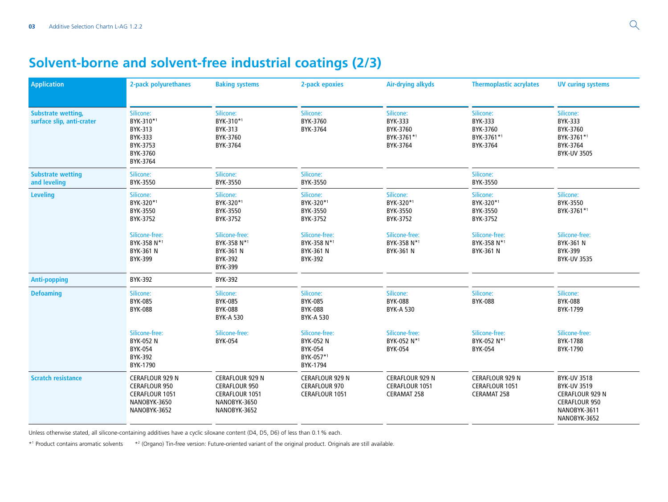## **Solvent-borne and solvent-free industrial coatings (2/3)**

| <b>Application</b>                                     | 2-pack polyurethanes                                                                                    | <b>Baking systems</b>                                                                            | 2-pack epoxies                                                      | <b>Air-drying alkyds</b>                                   | <b>Thermoplastic acrylates</b>                                 | <b>UV curing systems</b>                                                                                                   |
|--------------------------------------------------------|---------------------------------------------------------------------------------------------------------|--------------------------------------------------------------------------------------------------|---------------------------------------------------------------------|------------------------------------------------------------|----------------------------------------------------------------|----------------------------------------------------------------------------------------------------------------------------|
| <b>Substrate wetting,</b><br>surface slip, anti-crater | Silicone:<br>BYK-310*1<br><b>BYK-313</b><br>BYK-333<br>BYK-3753<br>BYK-3760<br>BYK-3764                 | Silicone:<br>BYK-310*1<br>BYK-313<br>BYK-3760<br>BYK-3764                                        | Silicone:<br>BYK-3760<br>BYK-3764                                   | Silicone:<br>BYK-333<br>BYK-3760<br>BYK-3761*1<br>BYK-3764 | Silicone:<br>BYK-333<br>BYK-3760<br>BYK-3761*1<br>BYK-3764     | Silicone:<br><b>BYK-333</b><br>BYK-3760<br>BYK-3761*1<br>BYK-3764<br><b>BYK-UV 3505</b>                                    |
| <b>Substrate wetting</b><br>and leveling               | Silicone:<br>BYK-3550                                                                                   | Silicone:<br>BYK-3550                                                                            | Silicone:<br>BYK-3550                                               |                                                            | Silicone:<br>BYK-3550                                          |                                                                                                                            |
| <b>Leveling</b>                                        | Silicone:<br>BYK-320*1<br>BYK-3550<br>BYK-3752                                                          | Silicone:<br>BYK-320*1<br>BYK-3550<br>BYK-3752                                                   | Silicone:<br>BYK-320*1<br>BYK-3550<br>BYK-3752                      | Silicone:<br>BYK-320*1<br>BYK-3550<br>BYK-3752             | Silicone:<br>BYK-320*1<br>BYK-3550<br>BYK-3752                 | Silicone:<br>BYK-3550<br>BYK-3761*1                                                                                        |
|                                                        | Silicone-free:<br>BYK-358 N*1<br>BYK-361 N<br><b>BYK-399</b>                                            | Silicone-free:<br>BYK-358 N*1<br><b>BYK-361 N</b><br><b>BYK-392</b><br><b>BYK-399</b>            | Silicone-free:<br>BYK-358 N*1<br><b>BYK-361 N</b><br><b>BYK-392</b> | Silicone-free:<br>BYK-358 N*1<br>BYK-361 N                 | Silicone-free:<br>BYK-358 N*1<br>BYK-361 N                     | Silicone-free:<br>BYK-361 N<br><b>BYK-399</b><br><b>BYK-UV 3535</b>                                                        |
| <b>Anti-popping</b>                                    | <b>BYK-392</b>                                                                                          | <b>BYK-392</b>                                                                                   |                                                                     |                                                            |                                                                |                                                                                                                            |
| <b>Defoaming</b>                                       | Silicone:<br><b>BYK-085</b><br><b>BYK-088</b>                                                           | Silicone:<br><b>BYK-085</b><br><b>BYK-088</b><br><b>BYK-A 530</b>                                | Silicone:<br><b>BYK-085</b><br><b>BYK-088</b><br><b>BYK-A 530</b>   | Silicone:<br><b>BYK-088</b><br><b>BYK-A 530</b>            | Silicone:<br><b>BYK-088</b>                                    | Silicone:<br><b>BYK-088</b><br>BYK-1799                                                                                    |
|                                                        | Silicone-free:<br><b>BYK-052 N</b><br><b>BYK-054</b><br><b>BYK-392</b><br>BYK-1790                      | Silicone-free:<br><b>BYK-054</b>                                                                 | Silicone-free:<br>BYK-052 N<br>BYK-054<br>BYK-057*1<br>BYK-1794     | Silicone-free:<br>BYK-052 N*1<br>BYK-054                   | Silicone-free:<br>BYK-052 N*1<br>BYK-054                       | Silicone-free:<br>BYK-1788<br>BYK-1790                                                                                     |
| <b>Scratch resistance</b>                              | <b>CERAFLOUR 929 N</b><br><b>CERAFLOUR 950</b><br><b>CERAFLOUR 1051</b><br>NANOBYK-3650<br>NANOBYK-3652 | CERAFLOUR 929 N<br><b>CERAFLOUR 950</b><br><b>CERAFLOUR 1051</b><br>NANOBYK-3650<br>NANOBYK-3652 | CERAFLOUR 929 N<br><b>CERAFLOUR 970</b><br>CERAFLOUR 1051           | CERAFLOUR 929 N<br>CERAFLOUR 1051<br><b>CERAMAT 258</b>    | <b>CERAFLOUR 929 N</b><br>CERAFLOUR 1051<br><b>CERAMAT 258</b> | <b>BYK-UV 3518</b><br><b>BYK-UV 3519</b><br><b>CERAFLOUR 929 N</b><br><b>CERAFLOUR 950</b><br>NANOBYK-3611<br>NANOBYK-3652 |

Unless otherwise stated, all silicone-containing additives have a cyclic siloxane content (D4, D5, D6) of less than 0.1% each.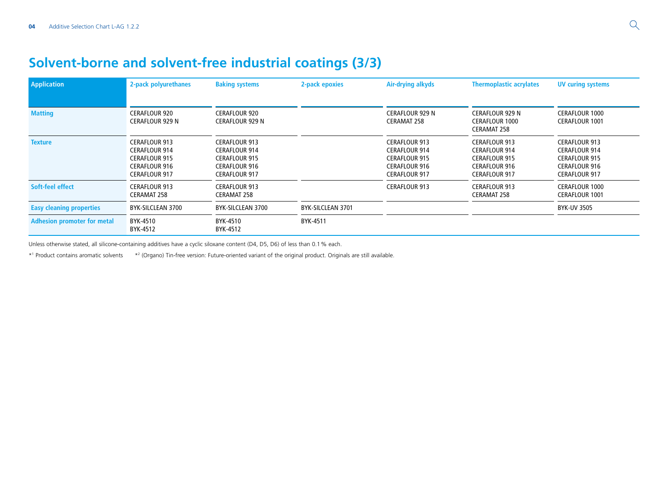## **Solvent-borne and solvent-free industrial coatings (3/3)**

| <b>Application</b>                 | 2-pack polyurethanes                                                                                                 | <b>Baking systems</b>                                                                                                | 2-pack epoxies    | Air-drying alkyds                                                                                                    | <b>Thermoplastic acrylates</b>                                                                                       | <b>UV curing systems</b>                                                                                             |
|------------------------------------|----------------------------------------------------------------------------------------------------------------------|----------------------------------------------------------------------------------------------------------------------|-------------------|----------------------------------------------------------------------------------------------------------------------|----------------------------------------------------------------------------------------------------------------------|----------------------------------------------------------------------------------------------------------------------|
| <b>Matting</b>                     | <b>CERAFLOUR 920</b><br><b>CERAFLOUR 929 N</b>                                                                       | CERAFLOUR 920<br><b>CERAFLOUR 929 N</b>                                                                              |                   | <b>CERAFLOUR 929 N</b><br><b>CERAMAT 258</b>                                                                         | <b>CERAFLOUR 929 N</b><br><b>CERAFLOUR 1000</b><br><b>CERAMAT 258</b>                                                | <b>CERAFLOUR 1000</b><br><b>CERAFLOUR 1001</b>                                                                       |
| <b>Texture</b>                     | <b>CERAFLOUR 913</b><br><b>CERAFLOUR 914</b><br><b>CERAFLOUR 915</b><br><b>CERAFLOUR 916</b><br><b>CERAFLOUR 917</b> | <b>CERAFLOUR 913</b><br><b>CERAFLOUR 914</b><br><b>CERAFLOUR 915</b><br><b>CERAFLOUR 916</b><br><b>CERAFLOUR 917</b> |                   | <b>CERAFLOUR 913</b><br><b>CERAFLOUR 914</b><br><b>CERAFLOUR 915</b><br><b>CERAFLOUR 916</b><br><b>CERAFLOUR 917</b> | <b>CERAFLOUR 913</b><br><b>CERAFLOUR 914</b><br><b>CERAFLOUR 915</b><br><b>CERAFLOUR 916</b><br><b>CERAFLOUR 917</b> | <b>CERAFLOUR 913</b><br><b>CERAFLOUR 914</b><br><b>CERAFLOUR 915</b><br><b>CERAFLOUR 916</b><br><b>CERAFLOUR 917</b> |
| Soft-feel effect                   | <b>CERAFLOUR 913</b><br><b>CERAMAT 258</b>                                                                           | <b>CERAFLOUR 913</b><br><b>CERAMAT 258</b>                                                                           |                   | <b>CERAFLOUR 913</b>                                                                                                 | <b>CERAFLOUR 913</b><br><b>CERAMAT 258</b>                                                                           | <b>CERAFLOUR 1000</b><br><b>CERAFLOUR 1001</b>                                                                       |
| <b>Easy cleaning properties</b>    | BYK-SILCLEAN 3700                                                                                                    | BYK-SILCLEAN 3700                                                                                                    | BYK-SILCLEAN 3701 |                                                                                                                      |                                                                                                                      | <b>BYK-UV 3505</b>                                                                                                   |
| <b>Adhesion promoter for metal</b> | BYK-4510<br>BYK-4512                                                                                                 | BYK-4510<br>BYK-4512                                                                                                 | BYK-4511          |                                                                                                                      |                                                                                                                      |                                                                                                                      |

Unless otherwise stated, all silicone-containing additives have a cyclic siloxane content (D4, D5, D6) of less than 0.1% each.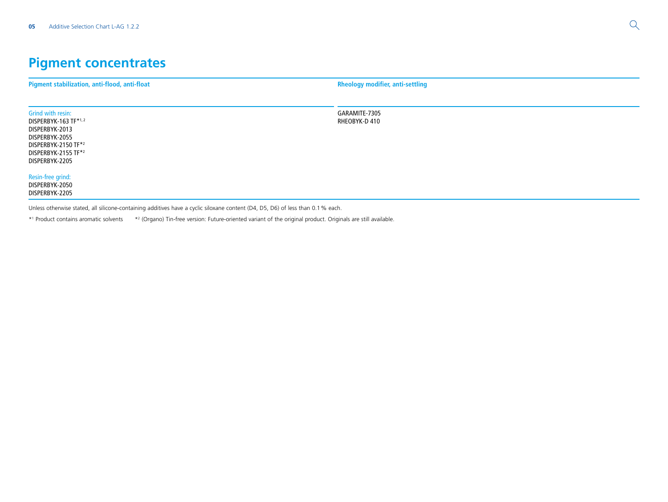# **Pigment concentrates**

| Pigment stabilization, anti-flood, anti-float                                                                                                                                           | <b>Rheology modifier, anti-settling</b> |
|-----------------------------------------------------------------------------------------------------------------------------------------------------------------------------------------|-----------------------------------------|
|                                                                                                                                                                                         |                                         |
| Grind with resin:<br>DISPERBYK-163 TF*1,2<br>DISPERBYK-2013<br>DISPERBYK-2055<br>DISPERBYK-2150 TF*2<br>DISPERBYK-2155 TF*2<br>DISPERBYK-2205                                           | GARAMITE-7305<br>RHEOBYK-D 410          |
| Resin-free grind:<br>DISPERBYK-2050<br>DISPERBYK-2205<br>Unless otherwise stated, all silicone-containing additives have a cyclic siloxane content (D4, D5, D6) of less than 0.1% each. |                                         |